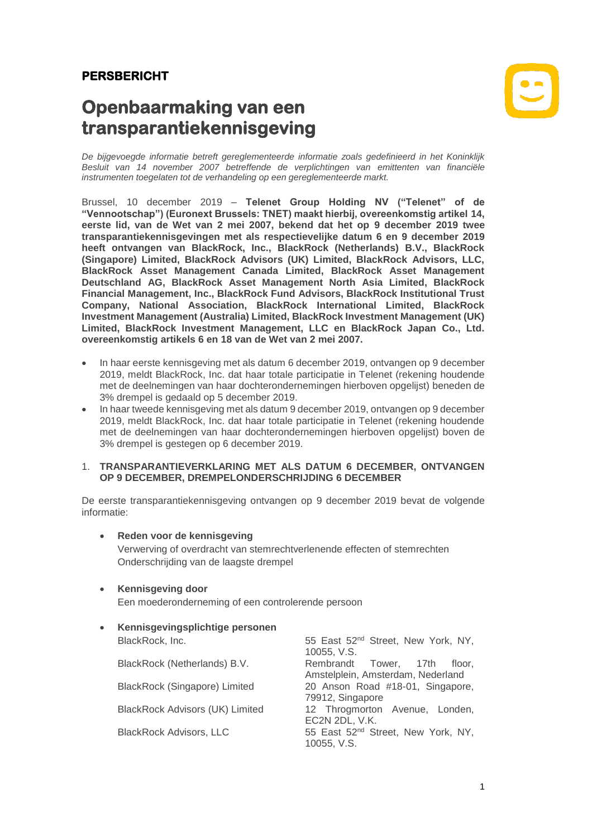# **PERSBERICHT**

# **Openbaarmaking van een transparantiekennisgeving**



*De bijgevoegde informatie betreft gereglementeerde informatie zoals gedefinieerd in het Koninklijk Besluit van 14 november 2007 betreffende de verplichtingen van emittenten van financiële instrumenten toegelaten tot de verhandeling op een gereglementeerde markt.*

Brussel, 10 december 2019 – **Telenet Group Holding NV ("Telenet" of de "Vennootschap") (Euronext Brussels: TNET) maakt hierbij, overeenkomstig artikel 14, eerste lid, van de Wet van 2 mei 2007, bekend dat het op 9 december 2019 twee transparantiekennisgevingen met als respectievelijke datum 6 en 9 december 2019 heeft ontvangen van BlackRock, Inc., BlackRock (Netherlands) B.V., BlackRock (Singapore) Limited, BlackRock Advisors (UK) Limited, BlackRock Advisors, LLC, BlackRock Asset Management Canada Limited, BlackRock Asset Management Deutschland AG, BlackRock Asset Management North Asia Limited, BlackRock Financial Management, Inc., BlackRock Fund Advisors, BlackRock Institutional Trust Company, National Association, BlackRock International Limited, BlackRock Investment Management (Australia) Limited, BlackRock Investment Management (UK) Limited, BlackRock Investment Management, LLC en BlackRock Japan Co., Ltd. overeenkomstig artikels 6 en 18 van de Wet van 2 mei 2007.**

- In haar eerste kennisgeving met als datum 6 december 2019, ontvangen op 9 december 2019, meldt BlackRock, Inc. dat haar totale participatie in Telenet (rekening houdende met de deelnemingen van haar dochterondernemingen hierboven opgelijst) beneden de 3% drempel is gedaald op 5 december 2019.
- In haar tweede kennisgeving met als datum 9 december 2019, ontvangen op 9 december 2019, meldt BlackRock, Inc. dat haar totale participatie in Telenet (rekening houdende met de deelnemingen van haar dochterondernemingen hierboven opgelijst) boven de 3% drempel is gestegen op 6 december 2019.

#### 1. **TRANSPARANTIEVERKLARING MET ALS DATUM 6 DECEMBER, ONTVANGEN OP 9 DECEMBER, DREMPELONDERSCHRIJDING 6 DECEMBER**

De eerste transparantiekennisgeving ontvangen op 9 december 2019 bevat de volgende informatie:

### • **Reden voor de kennisgeving** Verwerving of overdracht van stemrechtverlenende effecten of stemrechten Onderschrijding van de laagste drempel

- **Kennisgeving door** Een moederonderneming of een controlerende persoon
- **Kennisgevingsplichtige personen** BlackRock, Inc. **55 East 52<sup>nd</sup> Street, New York, NY**, 10055, V.S. BlackRock (Netherlands) B.V. Rembrandt Tower, 17th floor, Amstelplein, Amsterdam, Nederland BlackRock (Singapore) Limited 20 Anson Road #18-01, Singapore, 79912, Singapore BlackRock Advisors (UK) Limited 12 Throgmorton Avenue, Londen, EC2N 2DL, V.K. BlackRock Advisors, LLC 55 East 52<sup>nd</sup> Street, New York, NY, 10055, V.S.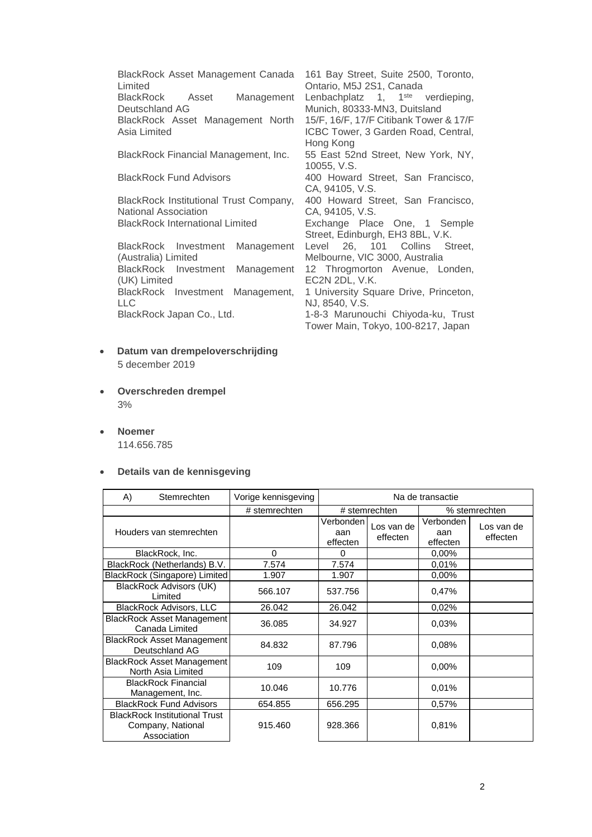BlackRock Asset Management Canada Limited 161 Bay Street, Suite 2500, Toronto, Ontario, M5J 2S1, Canada BlackRock Asset Management Deutschland AG Lenbachplatz 1, 1<sup>ste</sup> verdieping, Munich, 80333-MN3, Duitsland BlackRock Asset Management North Asia Limited BlackRock Financial Management, Inc. 10055, V.S. BlackRock Fund Advisors 400 Howard Street, San Francisco, CA, 94105, V.S. BlackRock Institutional Trust Company, National Association<br>BlackRock International Limited CA, 94105, V.S. BlackRock Investment Management

(Australia) Limited BlackRock Investment Management (UK) Limited BlackRock Investment Management, LLC BlackRock Japan Co., Ltd. 1-8-3 Marunouchi Chiyoda-ku, Trust

- **Datum van drempeloverschrijding** 5 december 2019
- **Overschreden drempel** 3%
- **Noemer** 114.656.785
- **Details van de kennisgeving**

| A)<br>Stemrechten                                                        | Vorige kennisgeving | Na de transactie               |                        |                              |                        |
|--------------------------------------------------------------------------|---------------------|--------------------------------|------------------------|------------------------------|------------------------|
|                                                                          | # stemrechten       | # stemrechten                  |                        | % stemrechten                |                        |
| Houders van stemrechten                                                  |                     | Verbonden l<br>aan<br>effecten | Los van de<br>effecten | Verbonden<br>aan<br>effecten | Los van de<br>effecten |
| BlackRock, Inc.                                                          | 0                   | 0                              |                        | 0,00%                        |                        |
| BlackRock (Netherlands) B.V.                                             | 7.574               | 7.574                          |                        | 0.01%                        |                        |
| BlackRock (Singapore) Limited                                            | 1.907               | 1.907                          |                        | $0.00\%$                     |                        |
| BlackRock Advisors (UK)<br>Limited                                       | 566.107             | 537.756                        |                        | 0,47%                        |                        |
| <b>BlackRock Advisors, LLC</b>                                           | 26.042              | 26.042                         |                        | 0,02%                        |                        |
| <b>BlackRock Asset Management</b><br>Canada Limited                      | 36.085              | 34.927                         |                        | 0.03%                        |                        |
| <b>BlackRock Asset Management</b><br>Deutschland AG                      | 84.832              | 87.796                         |                        | 0.08%                        |                        |
| <b>BlackRock Asset Management</b><br>North Asia Limited                  | 109                 | 109                            |                        | $0.00\%$                     |                        |
| <b>BlackRock Financial</b><br>Management, Inc.                           | 10.046              | 10.776                         |                        | 0.01%                        |                        |
| <b>BlackRock Fund Advisors</b>                                           | 654.855             | 656.295                        |                        | 0,57%                        |                        |
| <b>BlackRock Institutional Trust</b><br>Company, National<br>Association | 915.460             | 928.366                        |                        | 0,81%                        |                        |

15/F, 16/F, 17/F Citibank Tower & 17/F ICBC Tower, 3 Garden Road, Central, Hong Kong<br>55 East 52nd Street, New York, NY,

400 Howard Street, San Francisco,

Exchange Place One, 1 Semple Street, Edinburgh, EH3 8BL, V.K.

Level 26, 101 Collins Street, Melbourne, VIC 3000, Australia 12 Throgmorton Avenue, Londen, EC2N 2DL, V.K.

1 University Square Drive, Princeton, NJ, 8540, V.S.

Tower Main, Tokyo, 100-8217, Japan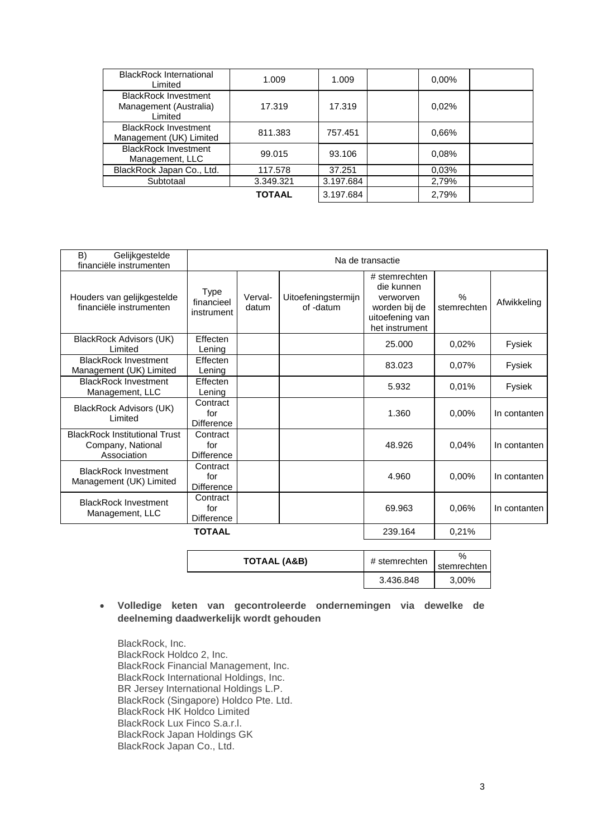| <b>BlackRock International</b><br>Limited                        | 1.009         | 1.009     | 0,00% |  |
|------------------------------------------------------------------|---------------|-----------|-------|--|
| <b>BlackRock Investment</b><br>Management (Australia)<br>Limited | 17.319        | 17.319    | 0,02% |  |
| <b>BlackRock Investment</b><br>Management (UK) Limited           | 811.383       | 757.451   | 0.66% |  |
| <b>BlackRock Investment</b><br>Management, LLC                   | 99.015        | 93.106    | 0.08% |  |
| BlackRock Japan Co., Ltd.                                        | 117.578       | 37.251    | 0.03% |  |
| Subtotaal                                                        | 3.349.321     | 3.197.684 | 2,79% |  |
|                                                                  | <b>TOTAAL</b> | 3.197.684 | 2,79% |  |

| B)<br>Gelijkgestelde<br>financiële instrumenten                          |                                      | Na de transactie |                                  |                                                                                                |                              |              |
|--------------------------------------------------------------------------|--------------------------------------|------------------|----------------------------------|------------------------------------------------------------------------------------------------|------------------------------|--------------|
| Houders van gelijkgestelde<br>financiële instrumenten                    | Type<br>financieel<br>instrument     | Verval-<br>datum | Uitoefeningstermijn<br>of -datum | # stemrechten<br>die kunnen<br>verworven<br>worden bij de<br>uitoefening van<br>het instrument | $\frac{0}{0}$<br>stemrechten | Afwikkeling  |
| BlackRock Advisors (UK)<br>Limited                                       | Effecten<br>Lening                   |                  |                                  | 25.000                                                                                         | 0.02%                        | Fysiek       |
| <b>BlackRock Investment</b><br>Management (UK) Limited                   | Effecten<br>Lening                   |                  |                                  | 83.023                                                                                         | 0.07%                        | Fysiek       |
| <b>BlackRock Investment</b><br>Management, LLC                           | Effecten<br>Lening                   |                  |                                  | 5.932                                                                                          | 0.01%                        | Fysiek       |
| BlackRock Advisors (UK)<br>Limited                                       | Contract<br>for<br><b>Difference</b> |                  |                                  | 1.360                                                                                          | 0,00%                        | In contanten |
| <b>BlackRock Institutional Trust</b><br>Company, National<br>Association | Contract<br>for<br><b>Difference</b> |                  |                                  | 48.926                                                                                         | 0.04%                        | In contanten |
| <b>BlackRock Investment</b><br>Management (UK) Limited                   | Contract<br>for<br><b>Difference</b> |                  |                                  | 4.960                                                                                          | 0.00%                        | In contanten |
| <b>BlackRock Investment</b><br>Management, LLC                           | Contract<br>for<br><b>Difference</b> |                  |                                  | 69.963                                                                                         | 0.06%                        | In contanten |
|                                                                          | <b>TOTAAL</b>                        |                  |                                  | 239.164                                                                                        | 0,21%                        |              |

| TOTAAL (A&B) | # stemrechten | $\%$<br>stemrechten |
|--------------|---------------|---------------------|
|              | 3.436.848     | 3,00%               |

## • **Volledige keten van gecontroleerde ondernemingen via dewelke de deelneming daadwerkelijk wordt gehouden**

BlackRock, Inc. BlackRock Holdco 2, Inc. BlackRock Financial Management, Inc. BlackRock International Holdings, Inc. BR Jersey International Holdings L.P. BlackRock (Singapore) Holdco Pte. Ltd. BlackRock HK Holdco Limited BlackRock Lux Finco S.a.r.l. BlackRock Japan Holdings GK BlackRock Japan Co., Ltd.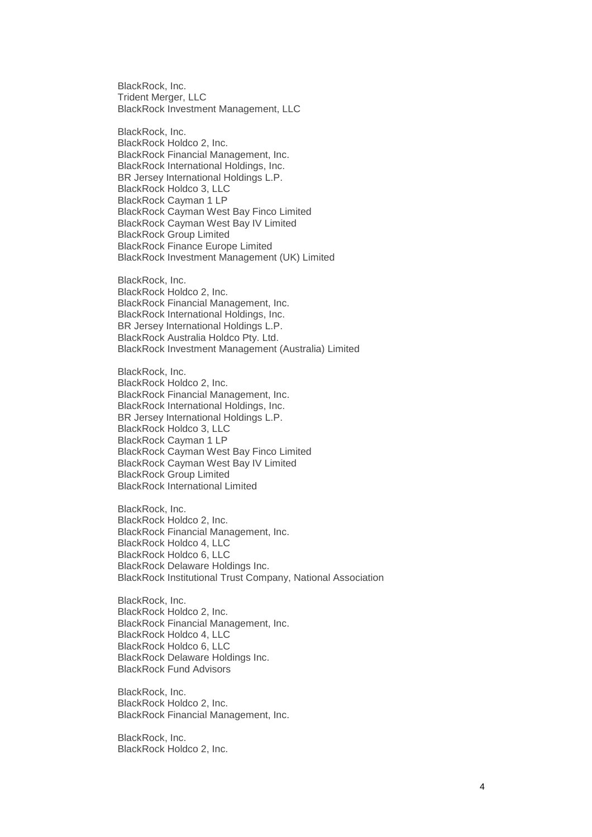BlackRock, Inc. Trident Merger, LLC BlackRock Investment Management, LLC

BlackRock, Inc. BlackRock Holdco 2, Inc. BlackRock Financial Management, Inc. BlackRock International Holdings, Inc. BR Jersey International Holdings L.P. BlackRock Holdco 3, LLC BlackRock Cayman 1 LP BlackRock Cayman West Bay Finco Limited BlackRock Cayman West Bay IV Limited BlackRock Group Limited BlackRock Finance Europe Limited BlackRock Investment Management (UK) Limited

BlackRock, Inc. BlackRock Holdco 2, Inc. BlackRock Financial Management, Inc. BlackRock International Holdings, Inc. BR Jersey International Holdings L.P. BlackRock Australia Holdco Pty. Ltd. BlackRock Investment Management (Australia) Limited

BlackRock, Inc. BlackRock Holdco 2, Inc. BlackRock Financial Management, Inc. BlackRock International Holdings, Inc. BR Jersey International Holdings L.P. BlackRock Holdco 3, LLC BlackRock Cayman 1 LP BlackRock Cayman West Bay Finco Limited BlackRock Cayman West Bay IV Limited BlackRock Group Limited BlackRock International Limited

BlackRock, Inc. BlackRock Holdco 2, Inc. BlackRock Financial Management, Inc. BlackRock Holdco 4, LLC BlackRock Holdco 6, LLC BlackRock Delaware Holdings Inc. BlackRock Institutional Trust Company, National Association

BlackRock, Inc. BlackRock Holdco 2, Inc. BlackRock Financial Management, Inc. BlackRock Holdco 4, LLC BlackRock Holdco 6, LLC BlackRock Delaware Holdings Inc. BlackRock Fund Advisors

BlackRock, Inc. BlackRock Holdco 2, Inc. BlackRock Financial Management, Inc.

BlackRock, Inc. BlackRock Holdco 2, Inc.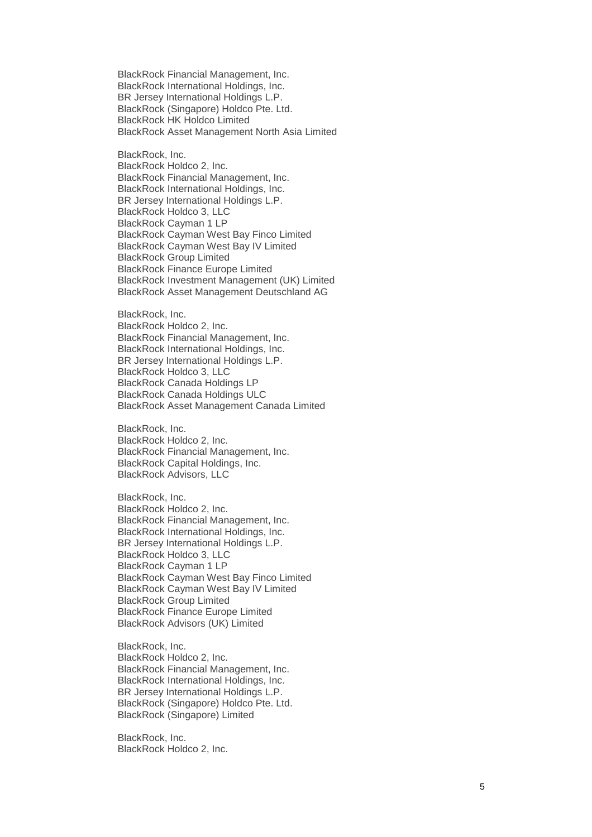BlackRock Financial Management, Inc. BlackRock International Holdings, Inc. BR Jersey International Holdings L.P. BlackRock (Singapore) Holdco Pte. Ltd. BlackRock HK Holdco Limited BlackRock Asset Management North Asia Limited

BlackRock, Inc. BlackRock Holdco 2, Inc. BlackRock Financial Management, Inc. BlackRock International Holdings, Inc. BR Jersey International Holdings L.P. BlackRock Holdco 3, LLC BlackRock Cayman 1 LP BlackRock Cayman West Bay Finco Limited BlackRock Cayman West Bay IV Limited BlackRock Group Limited BlackRock Finance Europe Limited BlackRock Investment Management (UK) Limited BlackRock Asset Management Deutschland AG

BlackRock, Inc. BlackRock Holdco 2, Inc. BlackRock Financial Management, Inc. BlackRock International Holdings, Inc. BR Jersey International Holdings L.P. BlackRock Holdco 3, LLC BlackRock Canada Holdings LP BlackRock Canada Holdings ULC BlackRock Asset Management Canada Limited

BlackRock, Inc. BlackRock Holdco 2, Inc. BlackRock Financial Management, Inc. BlackRock Capital Holdings, Inc. BlackRock Advisors, LLC

BlackRock, Inc. BlackRock Holdco 2, Inc. BlackRock Financial Management, Inc. BlackRock International Holdings, Inc. BR Jersey International Holdings L.P. BlackRock Holdco 3, LLC BlackRock Cayman 1 LP BlackRock Cayman West Bay Finco Limited BlackRock Cayman West Bay IV Limited BlackRock Group Limited BlackRock Finance Europe Limited BlackRock Advisors (UK) Limited

BlackRock, Inc. BlackRock Holdco 2, Inc. BlackRock Financial Management, Inc. BlackRock International Holdings, Inc. BR Jersey International Holdings L.P. BlackRock (Singapore) Holdco Pte. Ltd. BlackRock (Singapore) Limited

BlackRock, Inc. BlackRock Holdco 2, Inc.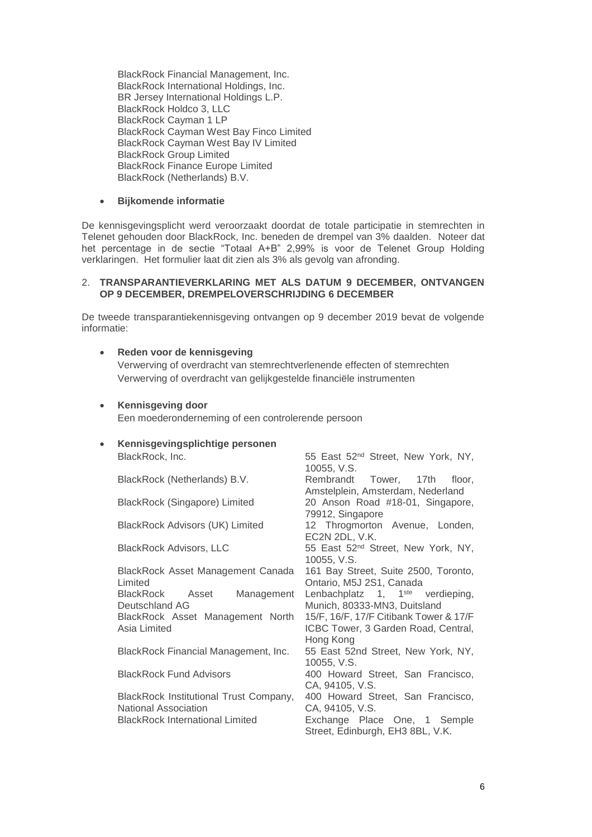BlackRock Financial Management, Inc. BlackRock International Holdings, Inc. BR Jersey International Holdings L.P. BlackRock Holdco 3, LLC BlackRock Cayman 1 LP BlackRock Cayman West Bay Finco Limited BlackRock Cayman West Bay IV Limited BlackRock Group Limited BlackRock Finance Europe Limited BlackRock (Netherlands) B.V.

#### • **Bijkomende informatie**

De kennisgevingsplicht werd veroorzaakt doordat de totale participatie in stemrechten in Telenet gehouden door BlackRock, Inc. beneden de drempel van 3% daalden. Noteer dat het percentage in de sectie "Totaal A+B" 2,99% is voor de Telenet Group Holding verklaringen. Het formulier laat dit zien als 3% als gevolg van afronding.

#### 2. **TRANSPARANTIEVERKLARING MET ALS DATUM 9 DECEMBER, ONTVANGEN OP 9 DECEMBER, DREMPELOVERSCHRIJDING 6 DECEMBER**

De tweede transparantiekennisgeving ontvangen op 9 december 2019 bevat de volgende informatie:

#### • **Reden voor de kennisgeving**

Verwerving of overdracht van stemrechtverlenende effecten of stemrechten Verwerving of overdracht van gelijkgestelde financiële instrumenten

#### • **Kennisgeving door**

Een moederonderneming of een controlerende persoon

# • **Kennisgevingsplichtige personen**

BlackRock Asset Management Canada Limited BlackRock Asset Management Deutschland AG BlackRock Asset Management North Asia Limited

BlackRock Institutional Trust Company, National Association

BlackRock, Inc. The State of the State 55 East 52<sup>nd</sup> Street, New York, NY, 10055, V.S. BlackRock (Netherlands) B.V. Rembrandt Tower, 17th floor, Amstelplein, Amsterdam, Nederland BlackRock (Singapore) Limited 20 Anson Road #18-01, Singapore, 79912, Singapore BlackRock Advisors (UK) Limited 12 Throgmorton Avenue, Londen, EC2N 2DL, V.K. BlackRock Advisors, LLC 55 East 52<sup>nd</sup> Street, New York, NY, 10055, V.S. 161 Bay Street, Suite 2500, Toronto, Ontario, M5J 2S1, Canada Lenbachplatz 1, 1<sup>ste</sup> verdieping, Munich, 80333-MN3, Duitsland 15/F, 16/F, 17/F Citibank Tower & 17/F ICBC Tower, 3 Garden Road, Central, Hong Kong BlackRock Financial Management, Inc. 55 East 52nd Street, New York, NY, 10055, V.S. BlackRock Fund Advisors 400 Howard Street, San Francisco, CA, 94105, V.S. 400 Howard Street, San Francisco, CA, 94105, V.S. BlackRock International Limited Exchange Place One, 1 Semple Street, Edinburgh, EH3 8BL, V.K.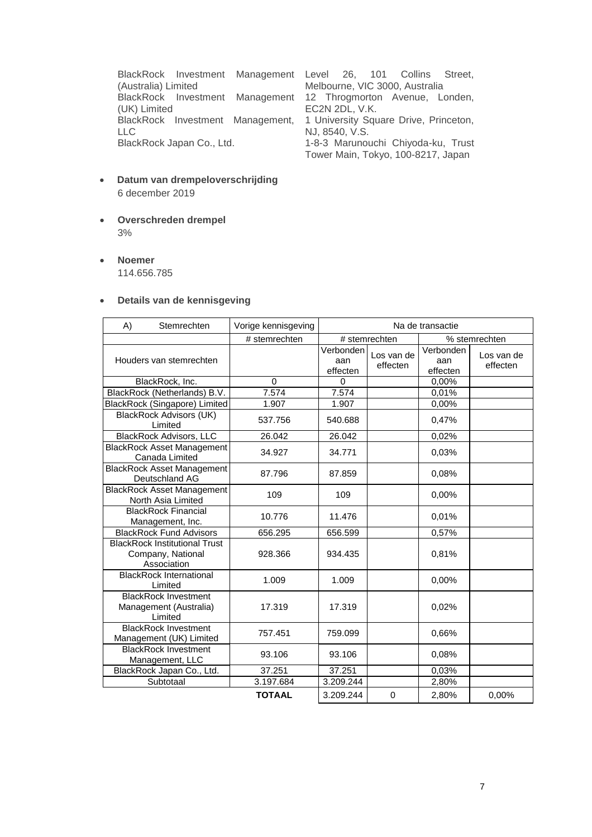BlackRock Investment Management (Australia) Limited BlackRock Investment (UK) Limited BlackRock Investment Management, LLC<br>BlackRock Japan Co., Ltd.

Level 26, 101 Collins Street, Melbourne, VIC 3000, Australia Management 12 Throgmorton Avenue, Londen, EC2N 2DL, V.K. 1 University Square Drive, Princeton, NJ, 8540, V.S. 1-8-3 Marunouchi Chiyoda-ku, Trust Tower Main, Tokyo, 100-8217, Japan

- **Datum van drempeloverschrijding** 6 december 2019
- **Overschreden drempel** 3%
- **Noemer**

114.656.785

## • **Details van de kennisgeving**

| A) | Stemrechten                                                              | Vorige kennisgeving | Na de transactie             |                        |                              |                        |  |
|----|--------------------------------------------------------------------------|---------------------|------------------------------|------------------------|------------------------------|------------------------|--|
|    |                                                                          | # stemrechten       | # stemrechten                |                        |                              | % stemrechten          |  |
|    | Houders van stemrechten                                                  |                     | Verbonden<br>aan<br>effecten | Los van de<br>effecten | Verbonden<br>aan<br>effecten | Los van de<br>effecten |  |
|    | BlackRock, Inc.                                                          | $\Omega$            | $\Omega$                     |                        | 0,00%                        |                        |  |
|    | BlackRock (Netherlands) B.V.                                             | 7.574               | 7.574                        |                        | 0,01%                        |                        |  |
|    | BlackRock (Singapore) Limited                                            | 1.907               | 1.907                        |                        | 0,00%                        |                        |  |
|    | <b>BlackRock Advisors (UK)</b><br>Limited                                | 537.756             | 540.688                      |                        | 0,47%                        |                        |  |
|    | <b>BlackRock Advisors, LLC</b>                                           | 26.042              | 26.042                       |                        | 0,02%                        |                        |  |
|    | <b>BlackRock Asset Management</b><br>Canada Limited                      | 34.927              | 34.771                       |                        | 0.03%                        |                        |  |
|    | <b>BlackRock Asset Management</b><br>Deutschland AG                      | 87.796              | 87.859                       |                        | 0.08%                        |                        |  |
|    | <b>BlackRock Asset Management</b><br>North Asia Limited                  | 109                 | 109                          |                        | 0.00%                        |                        |  |
|    | <b>BlackRock Financial</b><br>Management, Inc.                           | 10.776              | 11.476                       |                        | 0.01%                        |                        |  |
|    | <b>BlackRock Fund Advisors</b>                                           | 656.295             | 656.599                      |                        | 0,57%                        |                        |  |
|    | <b>BlackRock Institutional Trust</b><br>Company, National<br>Association | 928.366             | 934.435                      |                        | 0.81%                        |                        |  |
|    | <b>BlackRock International</b><br>Limited                                | 1.009               | 1.009                        |                        | 0,00%                        |                        |  |
|    | <b>BlackRock Investment</b><br>Management (Australia)<br>Limited         | 17.319              | 17.319                       |                        | 0,02%                        |                        |  |
|    | <b>BlackRock Investment</b><br>Management (UK) Limited                   | 757.451             | 759.099                      |                        | 0.66%                        |                        |  |
|    | <b>BlackRock Investment</b><br>Management, LLC                           | 93.106              | 93.106                       |                        | 0.08%                        |                        |  |
|    | BlackRock Japan Co., Ltd.                                                | 37.251              | 37.251                       |                        | 0,03%                        |                        |  |
|    | Subtotaal                                                                | 3.197.684           | 3.209.244                    |                        | 2,80%                        |                        |  |
|    |                                                                          | <b>TOTAAL</b>       | 3.209.244                    | $\mathbf 0$            | 2,80%                        | 0,00%                  |  |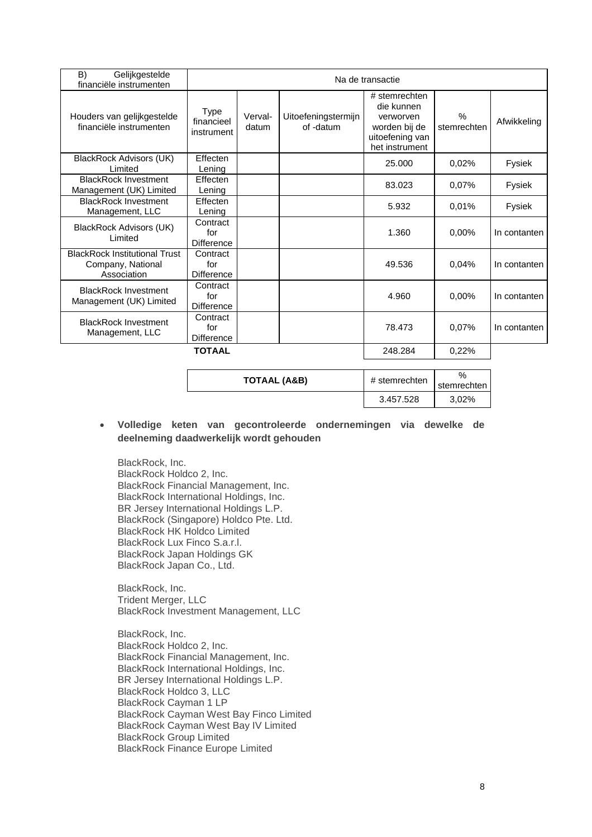| B)<br>Gelijkgestelde<br>financiële instrumenten                          |                                         | Na de transactie |                                  |                                                                                                |                              |              |
|--------------------------------------------------------------------------|-----------------------------------------|------------------|----------------------------------|------------------------------------------------------------------------------------------------|------------------------------|--------------|
| Houders van gelijkgestelde<br>financiële instrumenten                    | <b>Type</b><br>financieel<br>instrument | Verval-<br>datum | Uitoefeningstermijn<br>of -datum | # stemrechten<br>die kunnen<br>verworven<br>worden bij de<br>uitoefening van<br>het instrument | $\frac{0}{0}$<br>stemrechten | Afwikkeling  |
| <b>BlackRock Advisors (UK)</b><br>Limited                                | Effecten<br>Lening                      |                  |                                  | 25,000                                                                                         | 0,02%                        | Fysiek       |
| <b>BlackRock Investment</b><br>Management (UK) Limited                   | Effecten<br>Lening                      |                  |                                  | 83.023                                                                                         | 0,07%                        | Fysiek       |
| <b>BlackRock Investment</b><br>Management, LLC                           | Effecten<br>Lening                      |                  |                                  | 5.932                                                                                          | 0.01%                        | Fysiek       |
| BlackRock Advisors (UK)<br>Limited                                       | Contract<br>for<br><b>Difference</b>    |                  |                                  | 1.360                                                                                          | $0,00\%$                     | In contanten |
| <b>BlackRock Institutional Trust</b><br>Company, National<br>Association | Contract<br>for<br><b>Difference</b>    |                  |                                  | 49.536                                                                                         | 0,04%                        | In contanten |
| <b>BlackRock Investment</b><br>Management (UK) Limited                   | Contract<br>for<br><b>Difference</b>    |                  |                                  | 4.960                                                                                          | 0,00%                        | In contanten |
| <b>BlackRock Investment</b><br>Management, LLC                           | Contract<br>for<br>Difference           |                  |                                  | 78.473                                                                                         | 0.07%                        | In contanten |
| <b>TOTAAL</b>                                                            |                                         |                  |                                  | 248.284                                                                                        | 0,22%                        |              |

| <b>TOTAAL (A&amp;B)</b> | # stemrechten | $\frac{0}{2}$<br>stemrecht |
|-------------------------|---------------|----------------------------|
|                         | 3.457.528     | 3,02%                      |

• **Volledige keten van gecontroleerde ondernemingen via dewelke de deelneming daadwerkelijk wordt gehouden**

BlackRock, Inc. BlackRock Holdco 2, Inc. BlackRock Financial Management, Inc. BlackRock International Holdings, Inc. BR Jersey International Holdings L.P. BlackRock (Singapore) Holdco Pte. Ltd. BlackRock HK Holdco Limited BlackRock Lux Finco S.a.r.l. BlackRock Japan Holdings GK BlackRock Japan Co., Ltd.

BlackRock, Inc. Trident Merger, LLC BlackRock Investment Management, LLC

BlackRock, Inc. BlackRock Holdco 2, Inc. BlackRock Financial Management, Inc. BlackRock International Holdings, Inc. BR Jersey International Holdings L.P. BlackRock Holdco 3, LLC BlackRock Cayman 1 LP BlackRock Cayman West Bay Finco Limited BlackRock Cayman West Bay IV Limited BlackRock Group Limited BlackRock Finance Europe Limited

stemrechten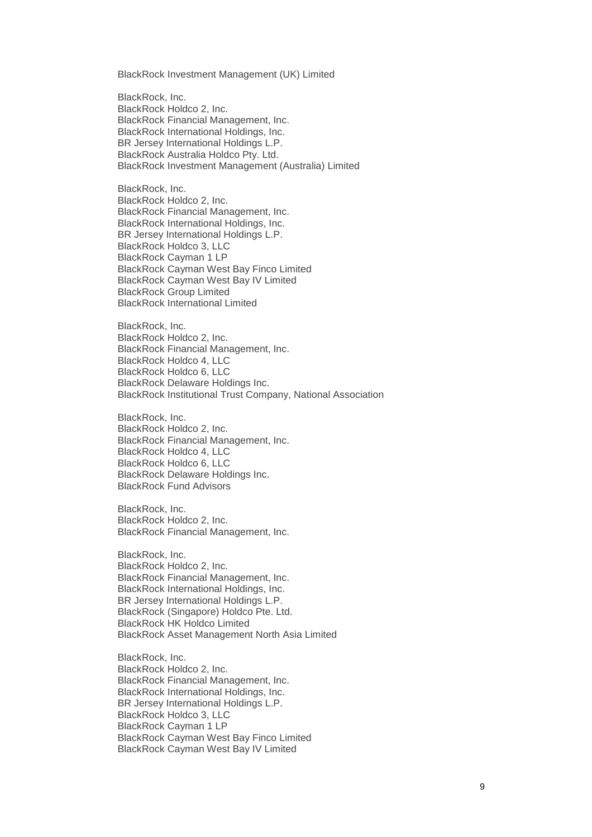BlackRock Investment Management (UK) Limited

BlackRock, Inc. BlackRock Holdco 2, Inc. BlackRock Financial Management, Inc. BlackRock International Holdings, Inc. BR Jersey International Holdings L.P. BlackRock Australia Holdco Pty. Ltd. BlackRock Investment Management (Australia) Limited

BlackRock, Inc. BlackRock Holdco 2, Inc. BlackRock Financial Management, Inc. BlackRock International Holdings, Inc. BR Jersey International Holdings L.P. BlackRock Holdco 3, LLC BlackRock Cayman 1 LP BlackRock Cayman West Bay Finco Limited BlackRock Cayman West Bay IV Limited BlackRock Group Limited BlackRock International Limited

BlackRock, Inc. BlackRock Holdco 2, Inc. BlackRock Financial Management, Inc. BlackRock Holdco 4, LLC BlackRock Holdco 6, LLC BlackRock Delaware Holdings Inc. BlackRock Institutional Trust Company, National Association

BlackRock, Inc. BlackRock Holdco 2, Inc. BlackRock Financial Management, Inc. BlackRock Holdco 4, LLC BlackRock Holdco 6, LLC BlackRock Delaware Holdings Inc. BlackRock Fund Advisors

BlackRock, Inc. BlackRock Holdco 2, Inc. BlackRock Financial Management, Inc.

BlackRock, Inc. BlackRock Holdco 2, Inc. BlackRock Financial Management, Inc. BlackRock International Holdings, Inc. BR Jersey International Holdings L.P. BlackRock (Singapore) Holdco Pte. Ltd. BlackRock HK Holdco Limited BlackRock Asset Management North Asia Limited

BlackRock, Inc. BlackRock Holdco 2, Inc. BlackRock Financial Management, Inc. BlackRock International Holdings, Inc. BR Jersey International Holdings L.P. BlackRock Holdco 3, LLC BlackRock Cayman 1 LP BlackRock Cayman West Bay Finco Limited BlackRock Cayman West Bay IV Limited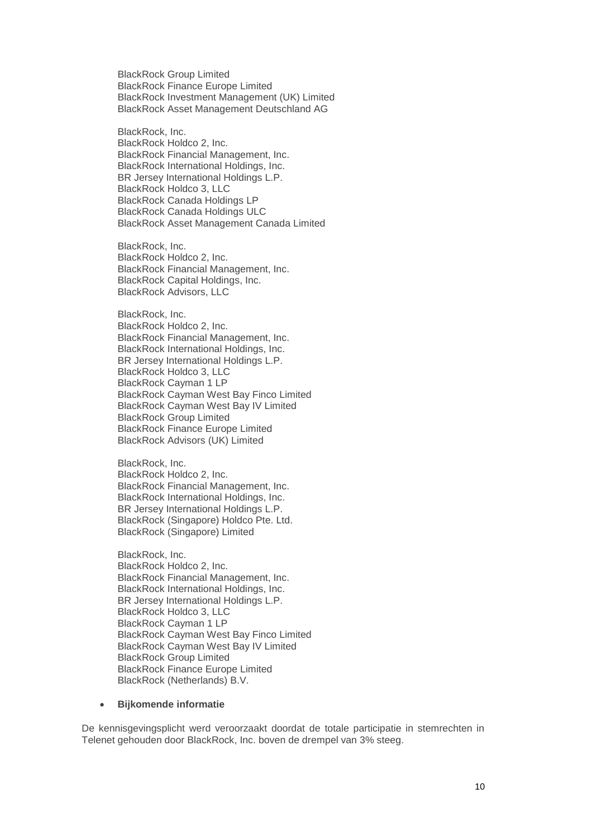BlackRock Group Limited BlackRock Finance Europe Limited BlackRock Investment Management (UK) Limited BlackRock Asset Management Deutschland AG

BlackRock, Inc. BlackRock Holdco 2, Inc. BlackRock Financial Management, Inc. BlackRock International Holdings, Inc. BR Jersey International Holdings L.P. BlackRock Holdco 3, LLC BlackRock Canada Holdings LP BlackRock Canada Holdings ULC BlackRock Asset Management Canada Limited

BlackRock, Inc. BlackRock Holdco 2, Inc. BlackRock Financial Management, Inc. BlackRock Capital Holdings, Inc. BlackRock Advisors, LLC

BlackRock, Inc. BlackRock Holdco 2, Inc. BlackRock Financial Management, Inc. BlackRock International Holdings, Inc. BR Jersey International Holdings L.P. BlackRock Holdco 3, LLC BlackRock Cayman 1 LP BlackRock Cayman West Bay Finco Limited BlackRock Cayman West Bay IV Limited BlackRock Group Limited BlackRock Finance Europe Limited BlackRock Advisors (UK) Limited

BlackRock, Inc. BlackRock Holdco 2, Inc. BlackRock Financial Management, Inc. BlackRock International Holdings, Inc. BR Jersey International Holdings L.P. BlackRock (Singapore) Holdco Pte. Ltd. BlackRock (Singapore) Limited

BlackRock, Inc. BlackRock Holdco 2, Inc. BlackRock Financial Management, Inc. BlackRock International Holdings, Inc. BR Jersey International Holdings L.P. BlackRock Holdco 3, LLC BlackRock Cayman 1 LP BlackRock Cayman West Bay Finco Limited BlackRock Cayman West Bay IV Limited BlackRock Group Limited BlackRock Finance Europe Limited BlackRock (Netherlands) B.V.

#### • **Bijkomende informatie**

De kennisgevingsplicht werd veroorzaakt doordat de totale participatie in stemrechten in Telenet gehouden door BlackRock, Inc. boven de drempel van 3% steeg.